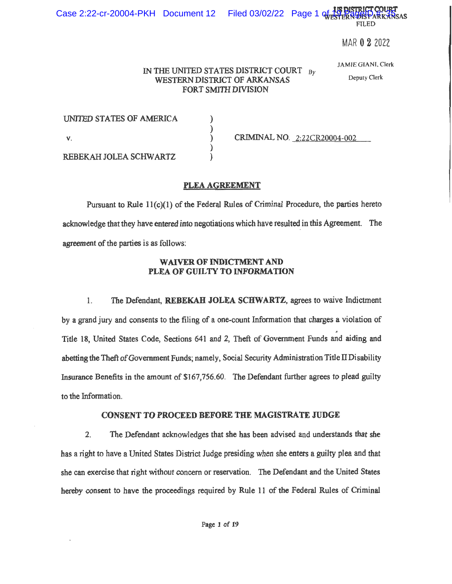**FILED** 

MAR 0 2 2022

### IN THE UNITED STATES DISTRICT COURT  $_{\text{Bv}}$ **WESTERN DISTRICT OF ARKANSAS** FORT SMITH DIVISION

JAMIE GIANI, Clerk

Deputy Clerk

| UNITED STATES OF AMERICA |                              |
|--------------------------|------------------------------|
|                          |                              |
|                          | CRIMINAL NO. 2:22CR20004-002 |
|                          |                              |
| REBEKAH JOLEA SCHWARTZ   |                              |

PLEA AGREEMENT

Pursuant to Rule  $11(c)(1)$  of the Federal Rules of Criminal Procedure, the parties hereto acknowledge that they have entered into negotiations which have resulted in this Agreement. The agreement of the parties is as follows:

# WAIVER OF INDICTMENT AND PLEA OF GUILTY TO INFORMATION

The Defendant, REBEKAH JOLEA SCHWARTZ, agrees to waive Indictment  $1.$ by a grand jury and consents to the filing of a one-count Information that charges a violation of Title 18, United States Code, Sections 641 and 2, Theft of Government Funds and aiding and abetting the Theft of Government Funds; namely, Social Security Administration Title II Disability Insurance Benefits in the amount of \$167,756.60. The Defendant further agrees to plead guilty to the Information.

# CONSENT TO PROCEED BEFORE THE MAGISTRATE JUDGE

 $2.$ The Defendant acknowledges that she has been advised and understands that she has a right to have a United States District Judge presiding when she enters a guilty plea and that she can exercise that right without concern or reservation. The Defendant and the United States hereby consent to have the proceedings required by Rule 11 of the Federal Rules of Criminal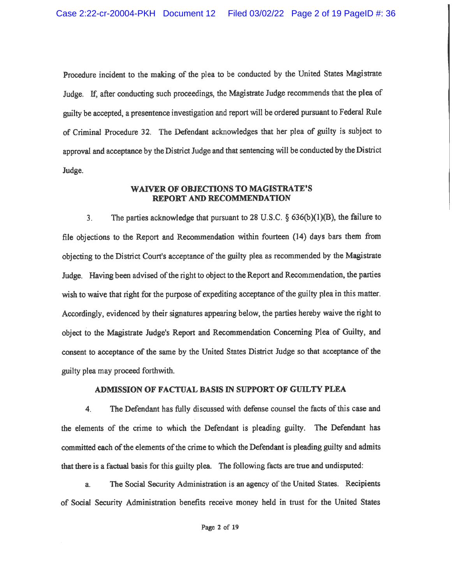Procedure incident to the making of the plea to be conducted by the United States Magistrate Judge. If, after conducting such proceedings, the Magistrate Judge recommends that the plea of guilty be accepted, a presentence investigation and report will be ordered pursuant to Federal Rule of Criminal Procedure 32. The Defendant acknowledges that her plea of guilty is subject to approval and acceptance by the District Judge and that sentencing will be conducted by the District Judge.

### **WAIVER OF OBJECTIONS TO MAGISTRATE'S** REPORT AND RECOMMENDATION

The parties acknowledge that pursuant to 28 U.S.C.  $\S$  636(b)(1)(B), the failure to  $3<sub>1</sub>$ file objections to the Report and Recommendation within fourteen (14) days bars them from objecting to the District Court's acceptance of the guilty plea as recommended by the Magistrate Judge. Having been advised of the right to object to the Report and Recommendation, the parties wish to waive that right for the purpose of expediting acceptance of the guilty plea in this matter. Accordingly, evidenced by their signatures appearing below, the parties hereby waive the right to object to the Magistrate Judge's Report and Recommendation Concerning Plea of Guilty, and consent to acceptance of the same by the United States District Judge so that acceptance of the guilty plea may proceed forthwith.

# ADMISSION OF FACTUAL BASIS IN SUPPORT OF GUILTY PLEA

 $\overline{4}$ . The Defendant has fully discussed with defense counsel the facts of this case and the elements of the crime to which the Defendant is pleading guilty. The Defendant has committed each of the elements of the crime to which the Defendant is pleading guilty and admits that there is a factual basis for this guilty plea. The following facts are true and undisputed:

The Social Security Administration is an agency of the United States. Recipients a. of Social Security Administration benefits receive money held in trust for the United States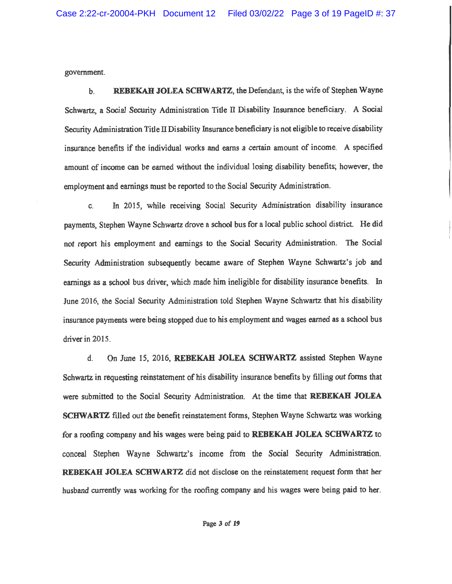government.

REBEKAH JOLEA SCHWARTZ, the Defendant, is the wife of Stephen Wayne  $\mathbf{b}$ . Schwartz, a Social Security Administration Title II Disability Insurance beneficiary. A Social Security Administration Title II Disability Insurance beneficiary is not eligible to receive disability insurance benefits if the individual works and earns a certain amount of income. A specified amount of income can be earned without the individual losing disability benefits; however, the employment and earnings must be reported to the Social Security Administration.

In 2015, while receiving Social Security Administration disability insurance C. payments, Stephen Wayne Schwartz drove a school bus for a local public school district. He did not report his employment and earnings to the Social Security Administration. The Social Security Administration subsequently became aware of Stephen Wayne Schwartz's job and earnings as a school bus driver, which made him ineligible for disability insurance benefits. In June 2016, the Social Security Administration told Stephen Wayne Schwartz that his disability insurance payments were being stopped due to his employment and wages earned as a school bus driver in 2015.

On June 15, 2016, REBEKAH JOLEA SCHWARTZ assisted Stephen Wayne  $\mathbf{d}$ . Schwartz in requesting reinstatement of his disability insurance benefits by filling out forms that were submitted to the Social Security Administration. At the time that REBEKAH JOLEA SCHWARTZ filled out the benefit reinstatement forms, Stephen Wayne Schwartz was working for a roofing company and his wages were being paid to REBEKAH JOLEA SCHWARTZ to conceal Stephen Wayne Schwartz's income from the Social Security Administration. REBEKAH JOLEA SCHWARTZ did not disclose on the reinstatement request form that her husband currently was working for the roofing company and his wages were being paid to her.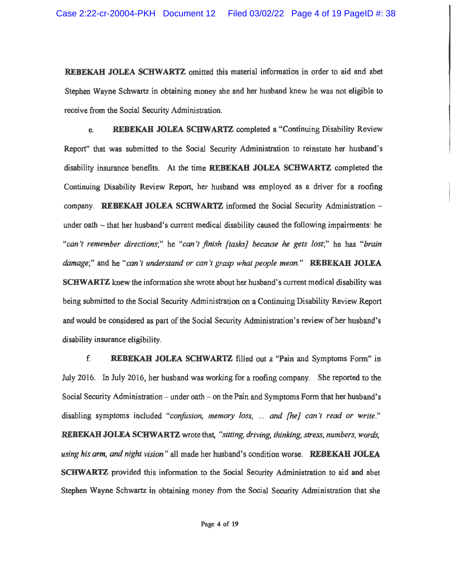**REBEKAH JOLEA SCHWARTZ** omitted this material information in order to aid and abet Stephen Wayne Schwartz in obtaining money she and her husband knew he was not eligible to receive from the Social Security Administration.

REBEKAH JOLEA SCHWARTZ completed a "Continuing Disability Review e. Report" that was submitted to the Social Security Administration to reinstate her husband's disability insurance benefits. At the time REBEKAH JOLEA SCHWARTZ completed the Continuing Disability Review Report, her husband was employed as a driver for a roofing company. REBEKAH JOLEA SCHWARTZ informed the Social Security Administration under oath – that her husband's current medical disability caused the following impairments: he "can't remember directions;" he "can't finish [tasks] because he gets lost;" he has "brain damage;" and he "can't understand or can't grasp what people mean." REBEKAH JOLEA SCHWARTZ knew the information she wrote about her husband's current medical disability was being submitted to the Social Security Administration on a Continuing Disability Review Report and would be considered as part of the Social Security Administration's review of her husband's disability insurance eligibility.

f. REBEKAH JOLEA SCHWARTZ filled out a "Pain and Symptoms Form" in July 2016. In July 2016, her husband was working for a roofing company. She reported to the Social Security Administration – under oath – on the Pain and Symptoms Form that her husband's disabling symptoms included "confusion, memory loss, ... and [he] can't read or write." REBEKAH JOLEA SCHWARTZ wrote that, "sitting, driving, thinking, stress, numbers, words, using his arm, and night vision" all made her husband's condition worse. REBEKAH JOLEA SCHWARTZ provided this information to the Social Security Administration to aid and abet Stephen Wayne Schwartz in obtaining money from the Social Security Administration that she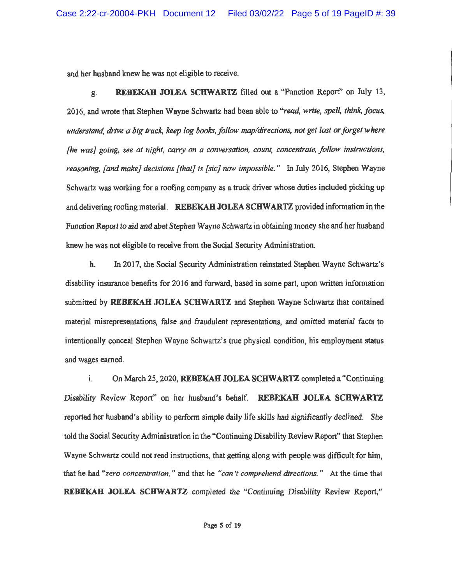and her husband knew he was not eligible to receive.

**REBEKAH JOLEA SCHWARTZ** filled out a "Function Report" on July 13, ደ. 2016, and wrote that Stephen Wayne Schwartz had been able to "read, write, spell, think, focus, understand, drive a big truck, keep log books, follow map/directions, not get lost or forget where [he was] going, see at night, carry on a conversation, count, concentrate, follow instructions, reasoning, [and make] decisions [that] is [sic] now impossible." In July 2016, Stephen Wayne Schwartz was working for a roofing company as a truck driver whose duties included picking up and delivering roofing material. REBEKAH JOLEA SCHWARTZ provided information in the Function Report to aid and abet Stephen Wayne Schwartz in obtaining money she and her husband knew he was not eligible to receive from the Social Security Administration.

In 2017, the Social Security Administration reinstated Stephen Wayne Schwartz's h. disability insurance benefits for 2016 and forward, based in some part, upon written information submitted by REBEKAH JOLEA SCHWARTZ and Stephen Wayne Schwartz that contained material misrepresentations, false and fraudulent representations, and omitted material facts to intentionally conceal Stephen Wayne Schwartz's true physical condition, his employment status and wages earned.

On March 25, 2020, REBEKAH JOLEA SCHWARTZ completed a "Continuing i. Disability Review Report" on her husband's behalf. REBEKAH JOLEA SCHWARTZ reported her husband's ability to perform simple daily life skills had significantly declined. She told the Social Security Administration in the "Continuing Disability Review Report" that Stephen Wayne Schwartz could not read instructions, that getting along with people was difficult for him, that he had "zero concentration," and that he "can't comprehend directions." At the time that REBEKAH JOLEA SCHWARTZ completed the "Continuing Disability Review Report,"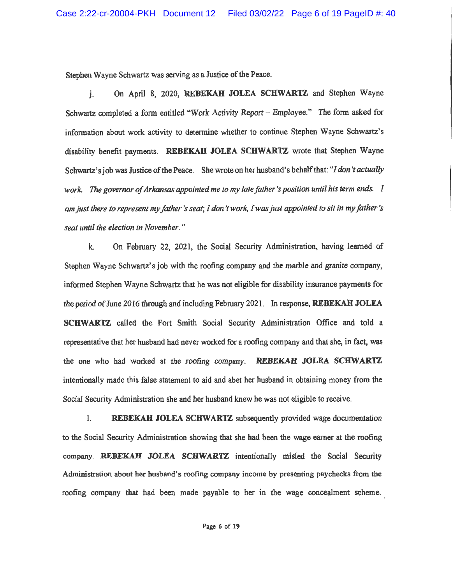Stephen Wavne Schwartz was serving as a Justice of the Peace.

On April 8, 2020, REBEKAH JOLEA SCHWARTZ and Stephen Wayne  $\mathbf{i}$ . Schwartz completed a form entitled "Work Activity Report - Employee." The form asked for information about work activity to determine whether to continue Stephen Wayne Schwartz's disability benefit payments. REBEKAH JOLEA SCHWARTZ wrote that Stephen Wayne Schwartz's job was Justice of the Peace. She wrote on her husband's behalf that: "I don't actually work. The governor of Arkansas appointed me to my late father 's position until his term ends. I am just there to represent my father 's seat; I don't work. I was just appointed to sit in my father 's seat until the election in November."

On February 22, 2021, the Social Security Administration, having learned of k. Stephen Wayne Schwartz's job with the roofing company and the marble and granite company, informed Stephen Wayne Schwartz that he was not eligible for disability insurance payments for the period of June 2016 through and including February 2021. In response, REBEKAH JOLEA SCHWARTZ called the Fort Smith Social Security Administration Office and told a representative that her husband had never worked for a roofing company and that she, in fact, was the one who had worked at the roofing company. REBEKAH JOLEA SCHWARTZ intentionally made this false statement to aid and abet her husband in obtaining money from the Social Security Administration she and her husband knew he was not eligible to receive.

 $\mathbf{1}$ . REBEKAH JOLEA SCHWARTZ subsequently provided wage documentation to the Social Security Administration showing that she had been the wage earner at the roofing company. REBEKAH JOLEA SCHWARTZ intentionally misled the Social Security Administration about her husband's roofing company income by presenting paychecks from the roofing company that had been made payable to her in the wage concealment scheme.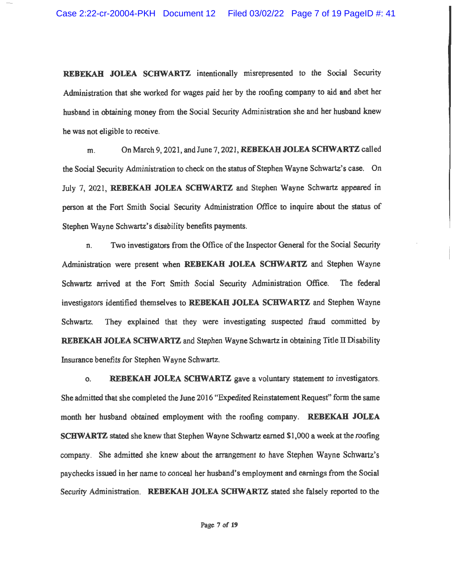REBEKAH JOLEA SCHWARTZ intentionally misrepresented to the Social Security Administration that she worked for wages paid her by the roofing company to aid and abet her husband in obtaining money from the Social Security Administration she and her husband knew he was not eligible to receive.

On March 9, 2021, and June 7, 2021, REBEKAH JOLEA SCHWARTZ called m. the Social Security Administration to check on the status of Stephen Wayne Schwartz's case. On July 7, 2021, REBEKAH JOLEA SCHWARTZ and Stephen Wayne Schwartz appeared in person at the Fort Smith Social Security Administration Office to inquire about the status of Stephen Wayne Schwartz's disability benefits payments.

Two investigators from the Office of the Inspector General for the Social Security n. Administration were present when REBEKAH JOLEA SCHWARTZ and Stephen Wayne Schwartz arrived at the Fort Smith Social Security Administration Office. The federal investigators identified themselves to REBEKAH JOLEA SCHWARTZ and Stephen Wayne Schwartz. They explained that they were investigating suspected fraud committed by REBEKAH JOLEA SCHWARTZ and Stephen Wayne Schwartz in obtaining Title II Disability Insurance benefits for Stephen Wayne Schwartz.

REBEKAH JOLEA SCHWARTZ gave a voluntary statement to investigators. 0. She admitted that she completed the June 2016 "Expedited Reinstatement Request" form the same month her husband obtained employment with the roofing company. REBEKAH JOLEA **SCHWARTZ** stated she knew that Stephen Wayne Schwartz earned \$1,000 a week at the roofing company. She admitted she knew about the arrangement to have Stephen Wayne Schwartz's paychecks issued in her name to conceal her husband's employment and earnings from the Social Security Administration. REBEKAH JOLEA SCHWARTZ stated she falsely reported to the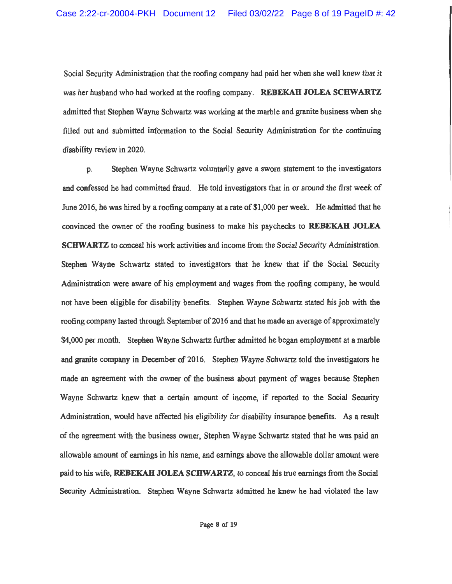Social Security Administration that the roofing company had paid her when she well knew that it was her husband who had worked at the roofing company. REBEKAH JOLEA SCHWARTZ admitted that Stephen Wayne Schwartz was working at the marble and granite business when she filled out and submitted information to the Social Security Administration for the continuing disability review in 2020.

Stephen Wayne Schwartz voluntarily gave a sworn statement to the investigators D. and confessed he had committed fraud. He told investigators that in or around the first week of June 2016, he was hired by a roofing company at a rate of \$1,000 per week. He admitted that he convinced the owner of the roofing business to make his paychecks to REBEKAH JOLEA **SCHWARTZ** to conceal his work activities and income from the Social Security Administration. Stephen Wayne Schwartz stated to investigators that he knew that if the Social Security Administration were aware of his employment and wages from the roofing company, he would not have been eligible for disability benefits. Stephen Wayne Schwartz stated his job with the roofing company lasted through September of 2016 and that he made an average of approximately \$4,000 per month. Stephen Wayne Schwartz further admitted he began employment at a marble and granite company in December of 2016. Stephen Wayne Schwartz told the investigators he made an agreement with the owner of the business about payment of wages because Stephen Wayne Schwartz knew that a certain amount of income, if reported to the Social Security Administration, would have affected his eligibility for disability insurance benefits. As a result of the agreement with the business owner, Stephen Wayne Schwartz stated that he was paid an allowable amount of earnings in his name, and earnings above the allowable dollar amount were paid to his wife, REBEKAH JOLEA SCHWARTZ, to conceal his true earnings from the Social Security Administration. Stephen Wayne Schwartz admitted he knew he had violated the law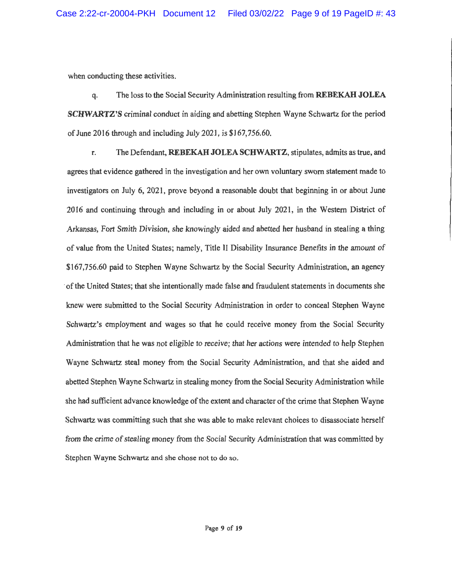when conducting these activities.

The loss to the Social Security Administration resulting from **REBEKAH JOLEA** q. **SCHWARTZ'S** criminal conduct in aiding and abetting Stephen Wayne Schwartz for the period of June 2016 through and including July 2021, is \$167,756.60.

 $\mathbf{r}$ . The Defendant, REBEKAH JOLEA SCHWARTZ, stipulates, admits as true, and agrees that evidence gathered in the investigation and her own voluntary sworn statement made to investigators on July 6, 2021, prove beyond a reasonable doubt that beginning in or about June 2016 and continuing through and including in or about July 2021, in the Western District of Arkansas, Fort Smith Division, she knowingly aided and abetted her husband in stealing a thing of value from the United States; namely, Title II Disability Insurance Benefits in the amount of \$167,756.60 paid to Stephen Wayne Schwartz by the Social Security Administration, an agency of the United States; that she intentionally made false and fraudulent statements in documents she knew were submitted to the Social Security Administration in order to conceal Stephen Wayne Schwartz's employment and wages so that he could receive money from the Social Security Administration that he was not eligible to receive: that her actions were intended to help Stephen Wayne Schwartz steal money from the Social Security Administration, and that she aided and abetted Stephen Wayne Schwartz in stealing money from the Social Security Administration while she had sufficient advance knowledge of the extent and character of the crime that Stephen Wayne Schwartz was committing such that she was able to make relevant choices to disassociate herself from the crime of stealing money from the Social Security Administration that was committed by Stephen Wayne Schwartz and she chose not to do so.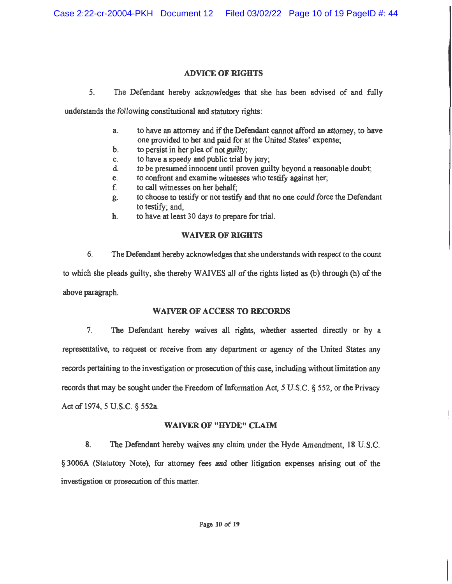## **ADVICE OF RIGHTS**

 $5<sub>1</sub>$ The Defendant hereby acknowledges that she has been advised of and fully

understands the following constitutional and statutory rights:

- to have an attorney and if the Defendant cannot afford an attorney, to have  $a<sub>1</sub>$ one provided to her and paid for at the United States' expense;
- to persist in her plea of not guilty: b.
- to have a speedy and public trial by jury: C.
- d. to be presumed innocent until proven guilty beyond a reasonable doubt;
- to confront and examine witnesses who testify against her; e.
- f. to call witnesses on her behalf;
- to choose to testify or not testify and that no one could force the Defendant g. to testify; and.
- to have at least 30 days to prepare for trial. h.

# **WAIVER OF RIGHTS**

6. The Defendant hereby acknowledges that she understands with respect to the count to which she pleads guilty, she thereby WAIVES all of the rights listed as (b) through (h) of the above paragraph.

# **WAIVER OF ACCESS TO RECORDS**

 $7<sub>1</sub>$ The Defendant hereby waives all rights, whether asserted directly or by a representative, to request or receive from any department or agency of the United States any records pertaining to the investigation or prosecution of this case, including without limitation any records that may be sought under the Freedom of Information Act, 5 U.S.C. § 552, or the Privacy Act of 1974, 5 U.S.C. § 552a.

# **WAIVER OF "HYDE" CLAIM**

8. The Defendant hereby waives any claim under the Hyde Amendment, 18 U.S.C. § 3006A (Statutory Note), for attorney fees and other litigation expenses arising out of the investigation or prosecution of this matter.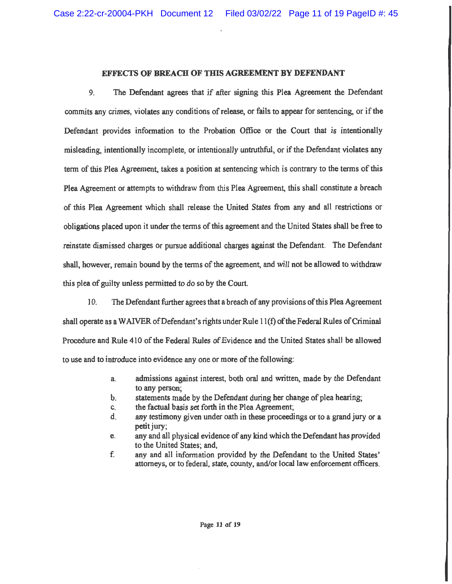### **EFFECTS OF BREACH OF THIS AGREEMENT BY DEFENDANT**

9 The Defendant agrees that if after signing this Plea Agreement the Defendant commits any crimes, violates any conditions of release, or fails to appear for sentencing, or if the Defendant provides information to the Probation Office or the Court that is intentionally misleading, intentionally incomplete, or intentionally untruthful, or if the Defendant violates any term of this Plea Agreement, takes a position at sentencing which is contrary to the terms of this Plea Agreement or attempts to withdraw from this Plea Agreement, this shall constitute a breach of this Plea Agreement which shall release the United States from any and all restrictions or obligations placed upon it under the terms of this agreement and the United States shall be free to reinstate dismissed charges or pursue additional charges against the Defendant. The Defendant shall, however, remain bound by the terms of the agreement, and will not be allowed to withdraw this plea of guilty unless permitted to do so by the Court.

10. The Defendant further agrees that a breach of any provisions of this Plea Agreement shall operate as a WAIVER of Defendant's rights under Rule 11(f) of the Federal Rules of Criminal Procedure and Rule 410 of the Federal Rules of Evidence and the United States shall be allowed to use and to introduce into evidence any one or more of the following:

- admissions against interest, both oral and written, made by the Defendant a. to any person:
- statements made by the Defendant during her change of plea hearing; b.
- the factual basis set forth in the Plea Agreement; C.
- any testimony given under oath in these proceedings or to a grand jury or a d. petit jury;
- any and all physical evidence of any kind which the Defendant has provided e. to the United States; and.
- f. any and all information provided by the Defendant to the United States' attorneys, or to federal, state, county, and/or local law enforcement officers.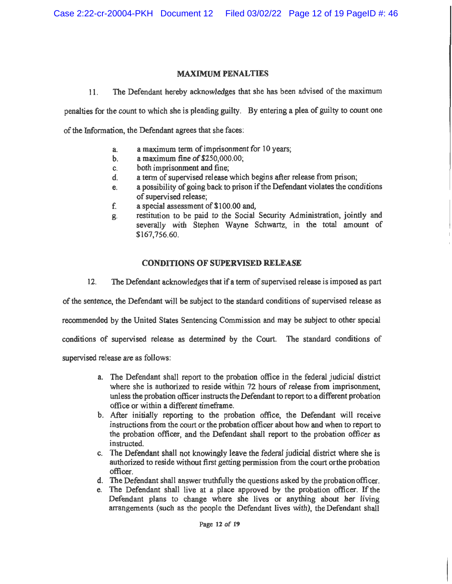## **MAXIMUM PENALTIES**

The Defendant hereby acknowledges that she has been advised of the maximum  $11<sub>1</sub>$ 

penalties for the count to which she is pleading guilty. By entering a plea of guilty to count one

of the Information, the Defendant agrees that she faces:

- a maximum term of imprisonment for 10 years; a.
- a maximum fine of \$250,000.00;  $\mathbf{b}$ .
- both imprisonment and fine; C.
- a term of supervised release which begins after release from prison;  $\mathbf{d}$ .
- a possibility of going back to prison if the Defendant violates the conditions e. of supervised release:
- a special assessment of \$100.00 and, f.
- restitution to be paid to the Social Security Administration, jointly and g. severally with Stephen Wayne Schwartz, in the total amount of \$167,756.60.

## **CONDITIONS OF SUPERVISED RELEASE**

 $12.$ The Defendant acknowledges that if a term of supervised release is imposed as part

of the sentence, the Defendant will be subject to the standard conditions of supervised release as

recommended by the United States Sentencing Commission and may be subject to other special

conditions of supervised release as determined by the Court. The standard conditions of

supervised release are as follows:

- a. The Defendant shall report to the probation office in the federal judicial district where she is authorized to reside within 72 hours of release from imprisonment, unless the probation officer instructs the Defendant to report to a different probation office or within a different timeframe.
- b. After initially reporting to the probation office, the Defendant will receive instructions from the court or the probation officer about how and when to report to the probation officer, and the Defendant shall report to the probation officer as instructed.
- c. The Defendant shall not knowingly leave the federal judicial district where she is authorized to reside without first getting permission from the court or the probation officer.
- d. The Defendant shall answer truthfully the questions asked by the probation officer.
- e. The Defendant shall live at a place approved by the probation officer. If the Defendant plans to change where she lives or anything about her living arrangements (such as the people the Defendant lives with), the Defendant shall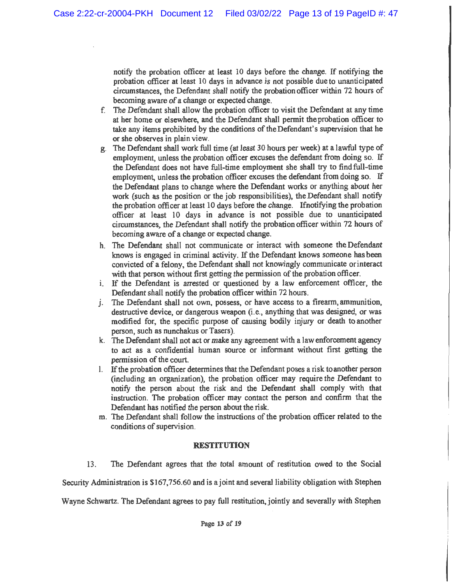notify the probation officer at least 10 days before the change. If notifying the probation officer at least 10 days in advance is not possible due to unanticipated circumstances, the Defendant shall notify the probation officer within 72 hours of becoming aware of a change or expected change.

- The Defendant shall allow the probation officer to visit the Defendant at any time f. at her home or elsewhere, and the Defendant shall permit the probation officer to take any items prohibited by the conditions of the Defendant's supervision that he or she observes in plain view.
- The Defendant shall work full time (at least 30 hours per week) at a lawful type of g. employment, unless the probation officer excuses the defendant from doing so. If the Defendant does not have full-time employment she shall try to find full-time employment, unless the probation officer excuses the defendant from doing so. If the Defendant plans to change where the Defendant works or anything about her work (such as the position or the job responsibilities), the Defendant shall notify the probation officer at least 10 days before the change. If notifying the probation officer at least 10 days in advance is not possible due to unanticipated circumstances, the Defendant shall notify the probation officer within 72 hours of becoming aware of a change or expected change.
- h. The Defendant shall not communicate or interact with someone the Defendant knows is engaged in criminal activity. If the Defendant knows someone has been convicted of a felony, the Defendant shall not knowingly communicate or interact with that person without first getting the permission of the probation officer.
- i. If the Defendant is arrested or questioned by a law enforcement officer, the Defendant shall notify the probation officer within 72 hours.
- j. The Defendant shall not own, possess, or have access to a firearm, ammunition, destructive device, or dangerous weapon (i.e., anything that was designed, or was modified for, the specific purpose of causing bodily injury or death to another person, such as nunchakus or Tasers).
- k. The Defendant shall not act or make any agreement with a law enforcement agency to act as a confidential human source or informant without first getting the permission of the court.
- 1. If the probation officer determines that the Defendant poses a risk to another person (including an organization), the probation officer may require the Defendant to notify the person about the risk and the Defendant shall comply with that instruction. The probation officer may contact the person and confirm that the Defendant has notified the person about the risk.
- m. The Defendant shall follow the instructions of the probation officer related to the conditions of supervision.

## **RESTITUTION**

13. The Defendant agrees that the total amount of restitution owed to the Social

Security Administration is \$167,756.60 and is a joint and several liability obligation with Stephen

Wayne Schwartz. The Defendant agrees to pay full restitution, jointly and severally with Stephen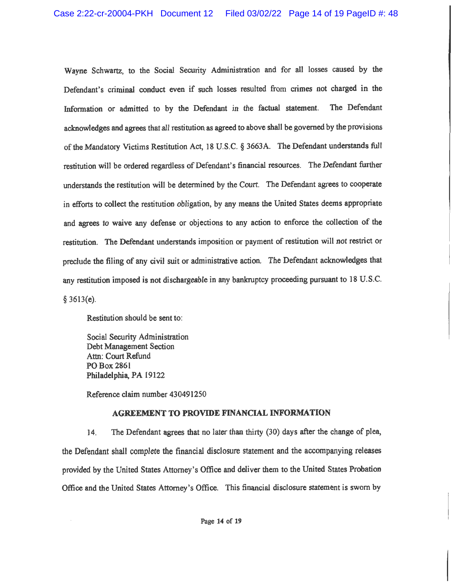Wayne Schwartz, to the Social Security Administration and for all losses caused by the Defendant's criminal conduct even if such losses resulted from crimes not charged in the Information or admitted to by the Defendant in the factual statement. The Defendant acknowledges and agrees that all restitution as agreed to above shall be governed by the provisions of the Mandatory Victims Restitution Act, 18 U.S.C. § 3663A. The Defendant understands full restitution will be ordered regardless of Defendant's financial resources. The Defendant further understands the restitution will be determined by the Court. The Defendant agrees to cooperate in efforts to collect the restitution obligation, by any means the United States deems appropriate and agrees to waive any defense or objections to any action to enforce the collection of the restitution. The Defendant understands imposition or payment of restitution will not restrict or preclude the filing of any civil suit or administrative action. The Defendant acknowledges that any restitution imposed is not dischargeable in any bankruptcy proceeding pursuant to 18 U.S.C.  $§ 3613(e).$ 

Restitution should be sent to:

Social Security Administration Debt Management Section Attn: Court Refund PO Box 2861 Philadelphia, PA 19122

Reference claim number 430491250

## **AGREEMENT TO PROVIDE FINANCIAL INFORMATION**

The Defendant agrees that no later than thirty (30) days after the change of plea, 14. the Defendant shall complete the financial disclosure statement and the accompanying releases provided by the United States Attorney's Office and deliver them to the United States Probation Office and the United States Attorney's Office. This financial disclosure statement is sworn by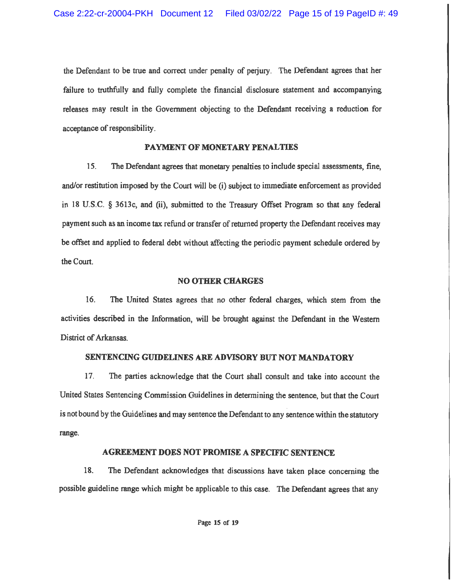the Defendant to be true and correct under penalty of periury. The Defendant agrees that her failure to truthfully and fully complete the financial disclosure statement and accompanying releases may result in the Government objecting to the Defendant receiving a reduction for acceptance of responsibility.

#### PAYMENT OF MONETARY PENALTIES

 $15.$ The Defendant agrees that monetary penalties to include special assessments, fine, and/or restitution imposed by the Court will be (i) subject to immediate enforcement as provided in 18 U.S.C. § 3613c, and (ii), submitted to the Treasury Offset Program so that any federal payment such as an income tax refund or transfer of returned property the Defendant receives may be offset and applied to federal debt without affecting the periodic payment schedule ordered by the Court.

#### **NO OTHER CHARGES**

 $16.$ The United States agrees that no other federal charges, which stem from the activities described in the Information, will be brought against the Defendant in the Western District of Arkansas.

### SENTENCING GUIDELINES ARE ADVISORY BUT NOT MANDATORY

 $17<sub>1</sub>$ The parties acknowledge that the Court shall consult and take into account the United States Sentencing Commission Guidelines in determining the sentence, but that the Court is not bound by the Guidelines and may sentence the Defendant to any sentence within the statutory range.

### **AGREEMENT DOES NOT PROMISE A SPECIFIC SENTENCE**

18. The Defendant acknowledges that discussions have taken place concerning the possible guideline range which might be applicable to this case. The Defendant agrees that any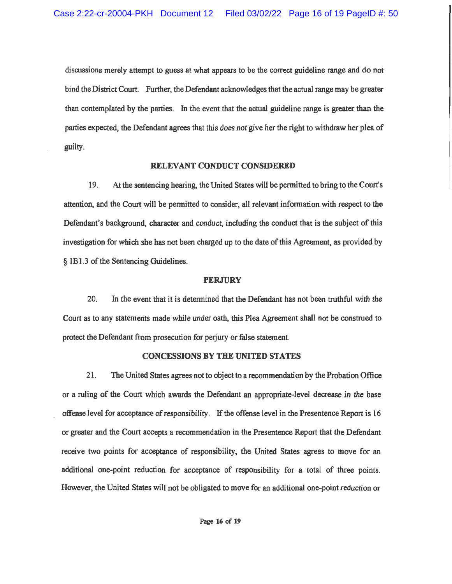discussions merely attempt to guess at what appears to be the correct guideline range and do not bind the District Court. Further, the Defendant acknowledges that the actual range may be greater than contemplated by the parties. In the event that the actual guideline range is greater than the parties expected, the Defendant agrees that this does not give her the right to withdraw her plea of guilty.

#### RELEVANT CONDUCT CONSIDERED

19. At the sentencing hearing, the United States will be permitted to bring to the Court's attention, and the Court will be permitted to consider, all relevant information with respect to the Defendant's background, character and conduct, including the conduct that is the subject of this investigation for which she has not been charged up to the date of this Agreement, as provided by § 1B1.3 of the Sentencing Guidelines.

#### **PERJURY**

20. In the event that it is determined that the Defendant has not been truthful with the Court as to any statements made while under oath, this Plea Agreement shall not be construed to protect the Defendant from prosecution for periury or false statement.

### **CONCESSIONS BY THE UNITED STATES**

21. The United States agrees not to object to a recommendation by the Probation Office or a ruling of the Court which awards the Defendant an appropriate-level decrease in the base offense level for acceptance of responsibility. If the offense level in the Presentence Report is 16 or greater and the Court accepts a recommendation in the Presentence Report that the Defendant receive two points for acceptance of responsibility, the United States agrees to move for an additional one-point reduction for acceptance of responsibility for a total of three points. However, the United States will not be obligated to move for an additional one-point reduction or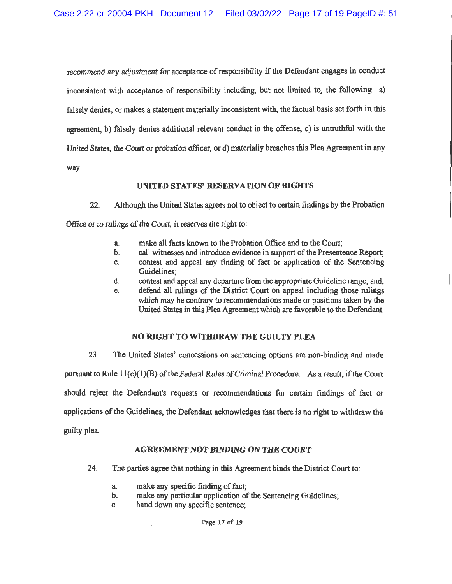recommend any adjustment for acceptance of responsibility if the Defendant engages in conduct inconsistent with acceptance of responsibility including, but not limited to, the following a) falsely denies, or makes a statement materially inconsistent with, the factual basis set forth in this agreement, b) falsely denies additional relevant conduct in the offense, c) is untruthful with the United States, the Court or probation officer, or d) materially breaches this Plea Agreement in any way.

### **UNITED STATES' RESERVATION OF RIGHTS**

 $22$ Although the United States agrees not to object to certain findings by the Probation Office or to rulings of the Court, it reserves the right to:

- make all facts known to the Probation Office and to the Court: a.
- $\mathbf{b}$ . call witnesses and introduce evidence in support of the Presentence Report;
- contest and appeal any finding of fact or application of the Sentencing C. Guidelines:
- d. contest and appeal any departure from the appropriate Guideline range; and,
- defend all rulings of the District Court on appeal including those rulings e. which may be contrary to recommendations made or positions taken by the United States in this Plea Agreement which are favorable to the Defendant.

## NO RIGHT TO WITHDRAW THE GUILTY PLEA

 $23.$ The United States' concessions on sentencing options are non-binding and made pursuant to Rule  $11(c)(1)(B)$  of the Federal Rules of Criminal Procedure. As a result, if the Court should reject the Defendant's requests or recommendations for certain findings of fact or applications of the Guidelines, the Defendant acknowledges that there is no right to withdraw the guilty plea.

## **AGREEMENT NOT BINDING ON THE COURT**

- 24. The parties agree that nothing in this Agreement binds the District Court to:
	- make any specific finding of fact; a.
	- make any particular application of the Sentencing Guidelines:  $\mathbf b$ .
	- hand down any specific sentence; C.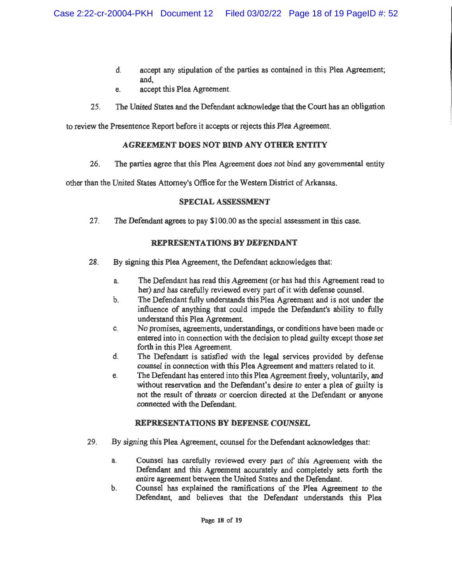- $\mathbf{d}$ accept any stipulation of the parties as contained in this Plea Agreement; and.
- accept this Plea Agreement. e.
- 25. The United States and the Defendant acknowledge that the Court has an obligation

to review the Presentence Report before it accepts or rejects this Plea Agreement.

## **AGREEMENT DOES NOT BIND ANY OTHER ENTITY**

26. The parties agree that this Plea Agreement does not bind any governmental entity

other than the United States Attorney's Office for the Western District of Arkansas.

# **SPECIAL ASSESSMENT**

27 The Defendant agrees to pay \$100.00 as the special assessment in this case.

# **REPRESENTATIONS BY DEFENDANT**

- 28. By signing this Plea Agreement, the Defendant acknowledges that:
	- The Defendant has read this Agreement (or has had this Agreement read to a. her) and has carefully reviewed every part of it with defense counsel.
	- The Defendant fully understands this Plea Agreement and is not under the b. influence of anything that could impede the Defendant's ability to fully understand this Plea Agreement.
	- No promises, agreements, understandings, or conditions have been made or C. entered into in connection with the decision to plead guilty except those set forth in this Plea Agreement.
	- The Defendant is satisfied with the legal services provided by defense d. counsel in connection with this Plea Agreement and matters related to it.
	- The Defendant has entered into this Plea Agreement freely, voluntarily, and e. without reservation and the Defendant's desire to enter a plea of guilty is not the result of threats or coercion directed at the Defendant or anyone connected with the Defendant

# **REPRESENTATIONS BY DEFENSE COUNSEL**

- 29. By signing this Plea Agreement, counsel for the Defendant acknowledges that:
	- Counsel has carefully reviewed every part of this Agreement with the a. Defendant and this Agreement accurately and completely sets forth the entire agreement between the United States and the Defendant.
	- Counsel has explained the ramifications of the Plea Agreement to the  $\mathbf b$ . Defendant, and believes that the Defendant understands this Plea